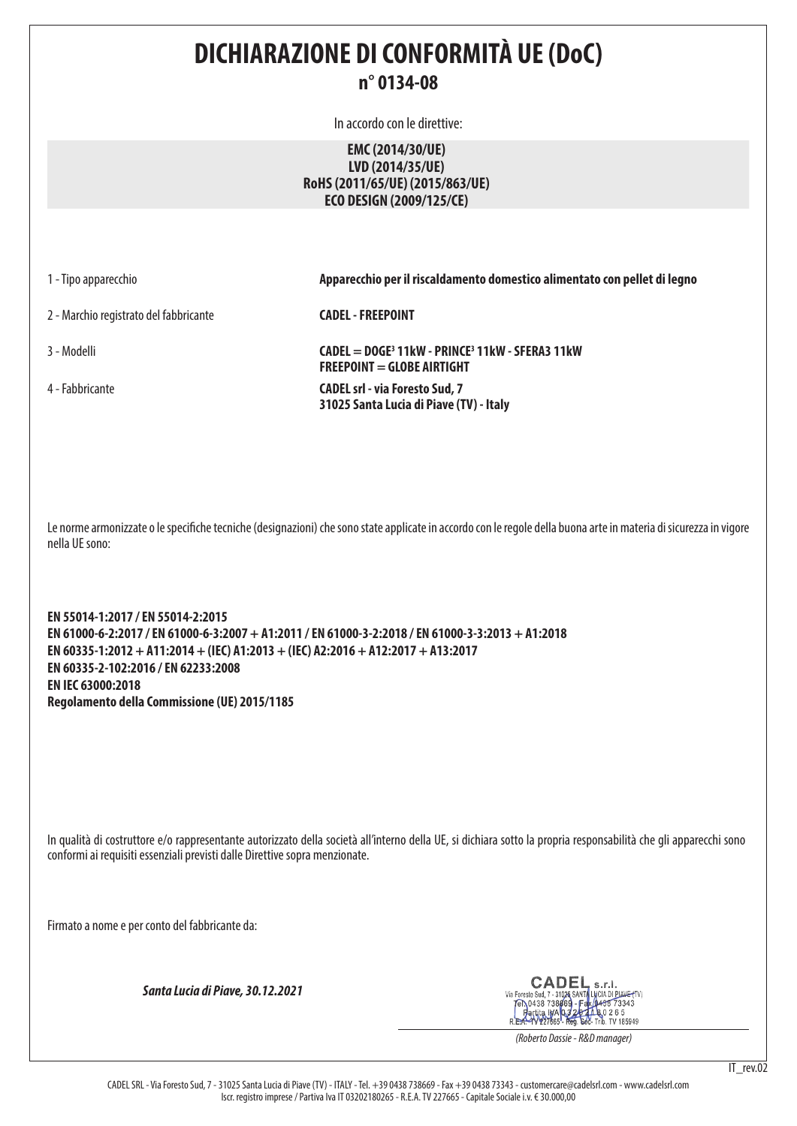# **DICHIARAZIONE DI CONFORMITÀ UE (DoC)**

# **n° 0134-08**

In accordo con le direttive:

# **EMC (2014/30/UE) LVD (2014/35/UE) RoHS (2011/65/UE) (2015/863/UE) ECO DESIGN (2009/125/CE)**

2 - Marchio registrato del fabbricante **CADEL - FREEPOINT**

1 - Tipo apparecchio **Apparecchio per il riscaldamento domestico alimentato con pellet di legno**

3 - Modelli **CADEL = DOGE3 11kW - PRINCE3 11kW - SFERA3 11kW FREEPOINT = GLOBE AIRTIGHT** 4 - Fabbricante **CADEL srl - via Foresto Sud, 7 31025 Santa Lucia di Piave (TV) - Italy**

Le norme armonizzate o le specifiche tecniche (designazioni) che sono state applicate in accordo con le regole della buona arte in materia di sicurezza in vigore nella UE sono:

**EN 55014-1:2017 / EN 55014-2:2015 EN 61000-6-2:2017 / EN 61000-6-3:2007 + A1:2011 / EN 61000-3-2:2018 / EN 61000-3-3:2013 + A1:2018 EN 60335-1:2012 + A11:2014 + (IEC) A1:2013 + (IEC) A2:2016 + A12:2017 + A13:2017 EN 60335-2-102:2016 / EN 62233:2008 EN IEC 63000:2018 Regolamento della Commissione (UE) 2015/1185**

In qualità di costruttore e/o rappresentante autorizzato della società all'interno della UE, si dichiara sotto la propria responsabilità che gli apparecchi sono conformi ai requisiti essenziali previsti dalle Direttive sopra menzionate.

Firmato a nome e per conto del fabbricante da:

*Santa Lucia di Piave, 30.12.2021*

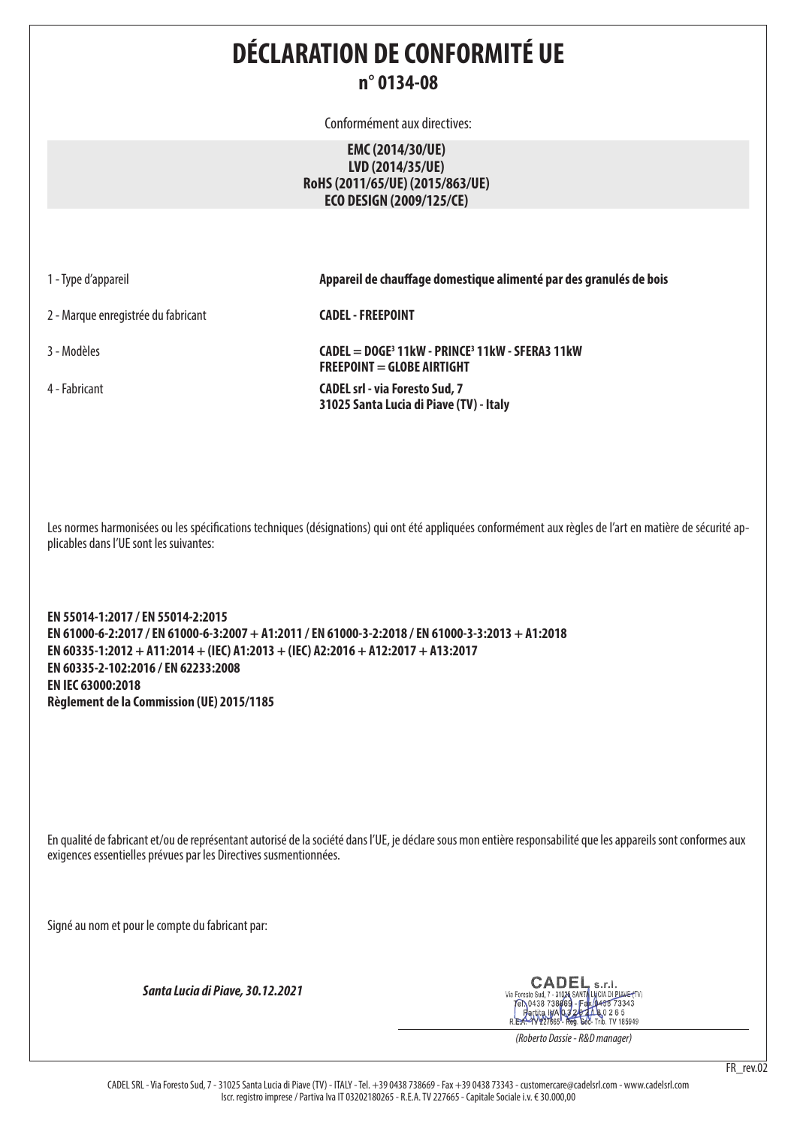# **DÉCLARATION DE CONFORMITÉ UE n° 0134-08**

Conformément aux directives:

## **EMC (2014/30/UE) LVD (2014/35/UE) RoHS (2011/65/UE) (2015/863/UE) ECO DESIGN (2009/125/CE)**

2 - Marque enregistrée du fabricant **CADEL - FREEPOINT**

1 - Type d'appareil **Appareil de chauffage domestique alimenté par des granulés de bois**

3 - Modèles **CADEL = DOGE3 11kW - PRINCE3 11kW - SFERA3 11kW FREEPOINT = GLOBE AIRTIGHT** 4 - Fabricant **CADEL srl - via Foresto Sud, 7 31025 Santa Lucia di Piave (TV) - Italy**

Les normes harmonisées ou les spécifications techniques (désignations) qui ont été appliquées conformément aux règles de l'art en matière de sécurité applicables dans l'UE sont les suivantes:

**EN 55014-1:2017 / EN 55014-2:2015 EN 61000-6-2:2017 / EN 61000-6-3:2007 + A1:2011 / EN 61000-3-2:2018 / EN 61000-3-3:2013 + A1:2018 EN 60335-1:2012 + A11:2014 + (IEC) A1:2013 + (IEC) A2:2016 + A12:2017 + A13:2017 EN 60335-2-102:2016 / EN 62233:2008 EN IEC 63000:2018 Règlement de la Commission (UE) 2015/1185**

En qualité de fabricant et/ou de représentant autorisé de la société dans l'UE, je déclare sous mon entière responsabilité que les appareils sont conformes aux exigences essentielles prévues par les Directives susmentionnées.

Signé au nom et pour le compte du fabricant par:

*Santa Lucia di Piave, 30.12.2021*

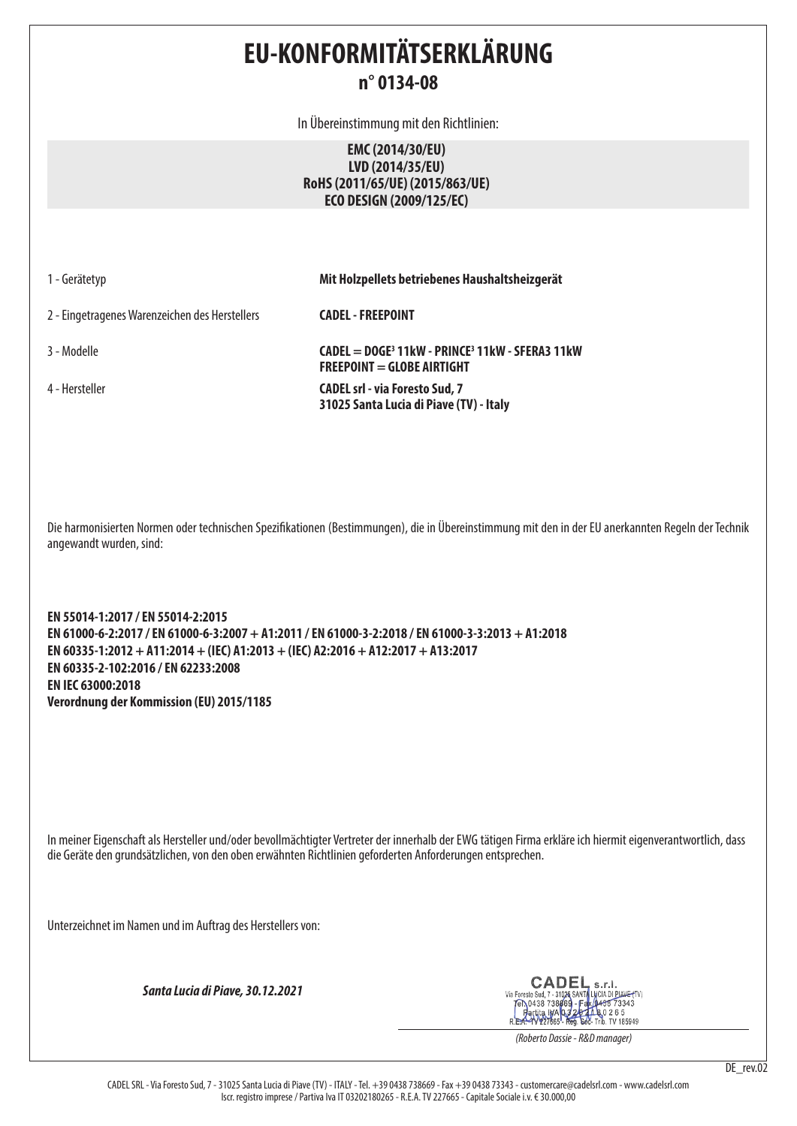# **EU-KONFORMITÄTSERKLÄRUNG n° 0134-08**

In Übereinstimmung mit den Richtlinien:

## **EMC (2014/30/EU) LVD (2014/35/EU) RoHS (2011/65/UE) (2015/863/UE) ECO DESIGN (2009/125/EC)**

1 - Gerätetyp **Mit Holzpellets betriebenes Haushaltsheizgerät**

2 - Eingetragenes Warenzeichen des Herstellers **CADEL - FREEPOINT**

3 - Modelle **CADEL = DOGE3 11kW - PRINCE3 11kW - SFERA3 11kW FREEPOINT = GLOBE AIRTIGHT** 4 - Hersteller **CADEL srl - via Foresto Sud, 7 31025 Santa Lucia di Piave (TV) - Italy**

Die harmonisierten Normen oder technischen Spezifikationen (Bestimmungen), die in Übereinstimmung mit den in der EU anerkannten Regeln der Technik angewandt wurden, sind:

**EN 55014-1:2017 / EN 55014-2:2015 EN 61000-6-2:2017 / EN 61000-6-3:2007 + A1:2011 / EN 61000-3-2:2018 / EN 61000-3-3:2013 + A1:2018 EN 60335-1:2012 + A11:2014 + (IEC) A1:2013 + (IEC) A2:2016 + A12:2017 + A13:2017 EN 60335-2-102:2016 / EN 62233:2008 EN IEC 63000:2018 Verordnung der Kommission (EU) 2015/1185**

In meiner Eigenschaft als Hersteller und/oder bevollmächtigter Vertreter der innerhalb der EWG tätigen Firma erkläre ich hiermit eigenverantwortlich, dass die Geräte den grundsätzlichen, von den oben erwähnten Richtlinien geforderten Anforderungen entsprechen.

Unterzeichnet im Namen und im Auftrag des Herstellers von:

*Santa Lucia di Piave, 30.12.2021*

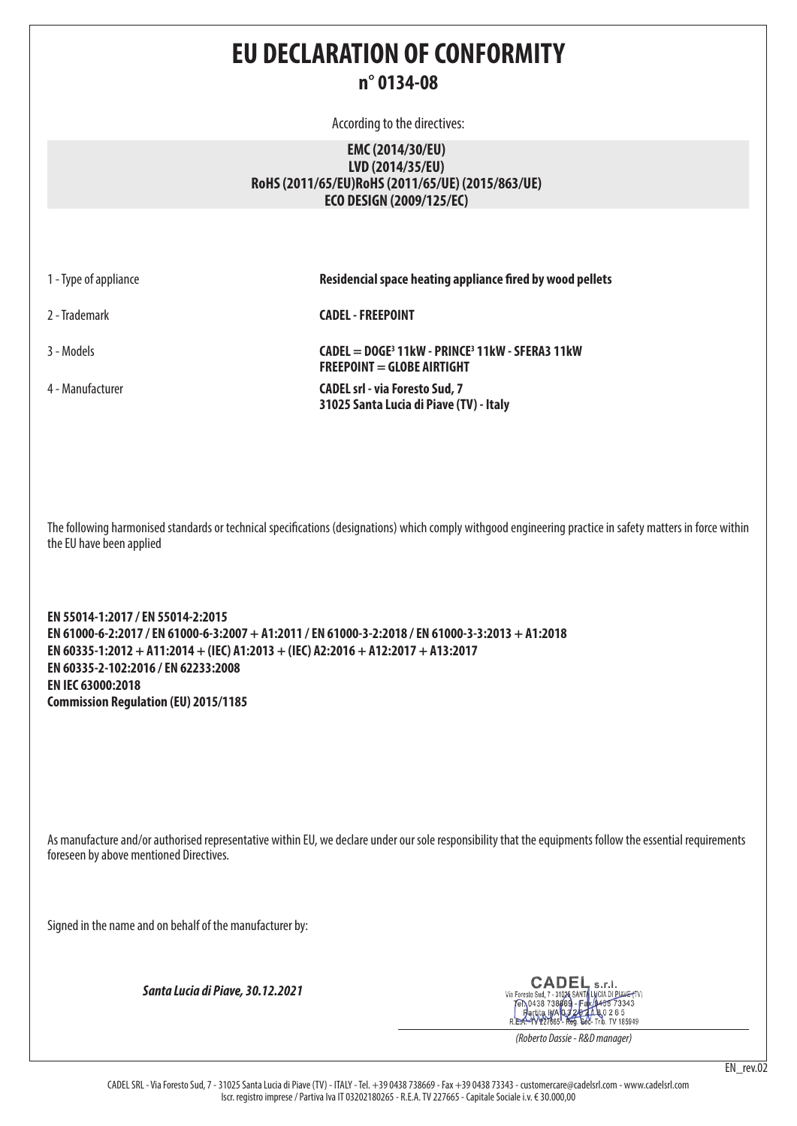# **EU DECLARATION OF CONFORMITY n° 0134-08**

According to the directives:

## **EMC (2014/30/EU) LVD (2014/35/EU) RoHS (2011/65/EU)RoHS (2011/65/UE) (2015/863/UE) ECO DESIGN (2009/125/EC)**

1 - Type of appliance **Residencial space heating appliance fired by wood pellets** 2 - Trademark **CADEL - FREEPOINT** 3 - Models **CADEL = DOGE3 11kW - PRINCE3 11kW - SFERA3 11kW FREEPOINT = GLOBE AIRTIGHT** 4 - Manufacturer **CADEL srl - via Foresto Sud, 7 31025 Santa Lucia di Piave (TV) - Italy**

The following harmonised standards or technical specifications (designations) which comply withgood engineering practice in safety matters in force within the EU have been applied

**EN 55014-1:2017 / EN 55014-2:2015 EN 61000-6-2:2017 / EN 61000-6-3:2007 + A1:2011 / EN 61000-3-2:2018 / EN 61000-3-3:2013 + A1:2018 EN 60335-1:2012 + A11:2014 + (IEC) A1:2013 + (IEC) A2:2016 + A12:2017 + A13:2017 EN 60335-2-102:2016 / EN 62233:2008 EN IEC 63000:2018 Commission Regulation (EU) 2015/1185**

As manufacture and/or authorised representative within EU, we declare under our sole responsibility that the equipments follow the essential requirements foreseen by above mentioned Directives.

Signed in the name and on behalf of the manufacturer by:

*Santa Lucia di Piave, 30.12.2021*

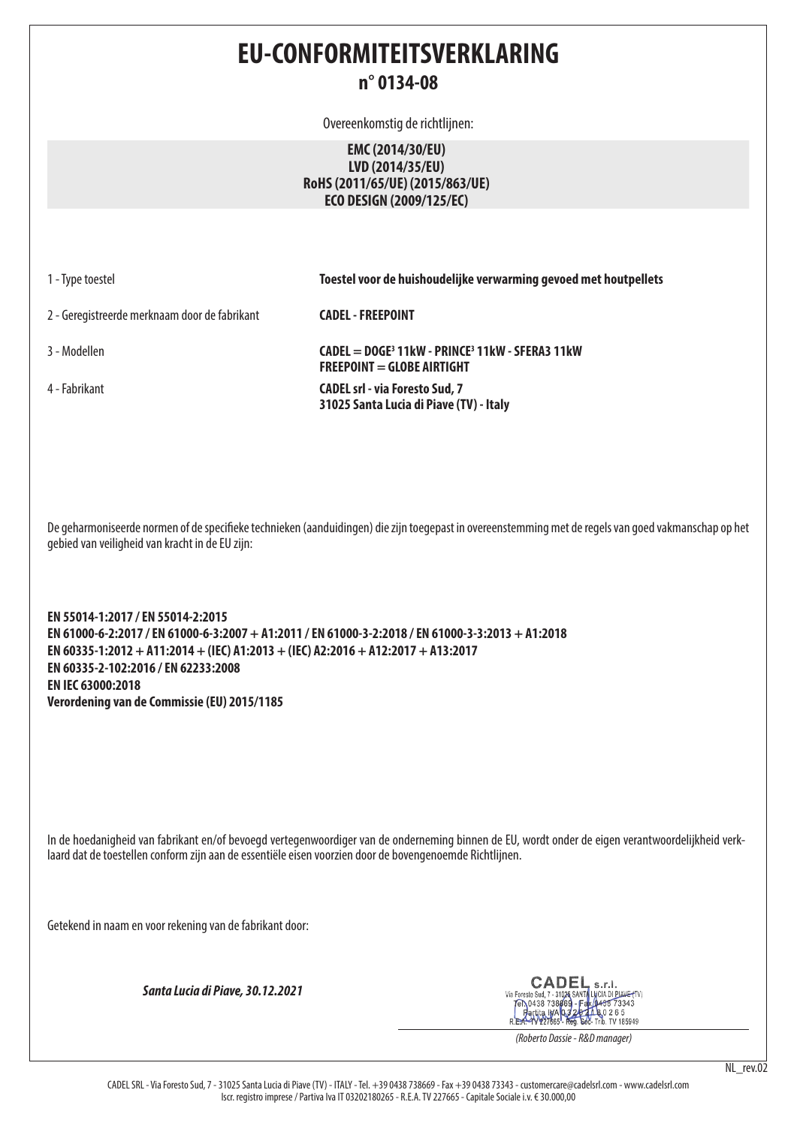# **EU-CONFORMITEITSVERKLARING n° 0134-08**

Overeenkomstig de richtlijnen:

## **EMC (2014/30/EU) LVD (2014/35/EU) RoHS (2011/65/UE) (2015/863/UE) ECO DESIGN (2009/125/EC)**

1 - Type toestel **Toestel voor de huishoudelijke verwarming gevoed met houtpellets**

2 - Geregistreerde merknaam door de fabrikant **CADEL - FREEPOINT**

3 - Modellen **CADEL = DOGE3 11kW - PRINCE3 11kW - SFERA3 11kW FREEPOINT = GLOBE AIRTIGHT** 4 - Fabrikant **CADEL srl - via Foresto Sud, 7 31025 Santa Lucia di Piave (TV) - Italy**

De geharmoniseerde normen of de specifieke technieken (aanduidingen) die zijn toegepast in overeenstemming met de regels van goed vakmanschap op het gebied van veiligheid van kracht in de EU zijn:

**EN 55014-1:2017 / EN 55014-2:2015 EN 61000-6-2:2017 / EN 61000-6-3:2007 + A1:2011 / EN 61000-3-2:2018 / EN 61000-3-3:2013 + A1:2018 EN 60335-1:2012 + A11:2014 + (IEC) A1:2013 + (IEC) A2:2016 + A12:2017 + A13:2017 EN 60335-2-102:2016 / EN 62233:2008 EN IEC 63000:2018 Verordening van de Commissie (EU) 2015/1185**

In de hoedanigheid van fabrikant en/of bevoegd vertegenwoordiger van de onderneming binnen de EU, wordt onder de eigen verantwoordelijkheid verklaard dat de toestellen conform zijn aan de essentiële eisen voorzien door de bovengenoemde Richtlijnen.

Getekend in naam en voor rekening van de fabrikant door:

*Santa Lucia di Piave, 30.12.2021*

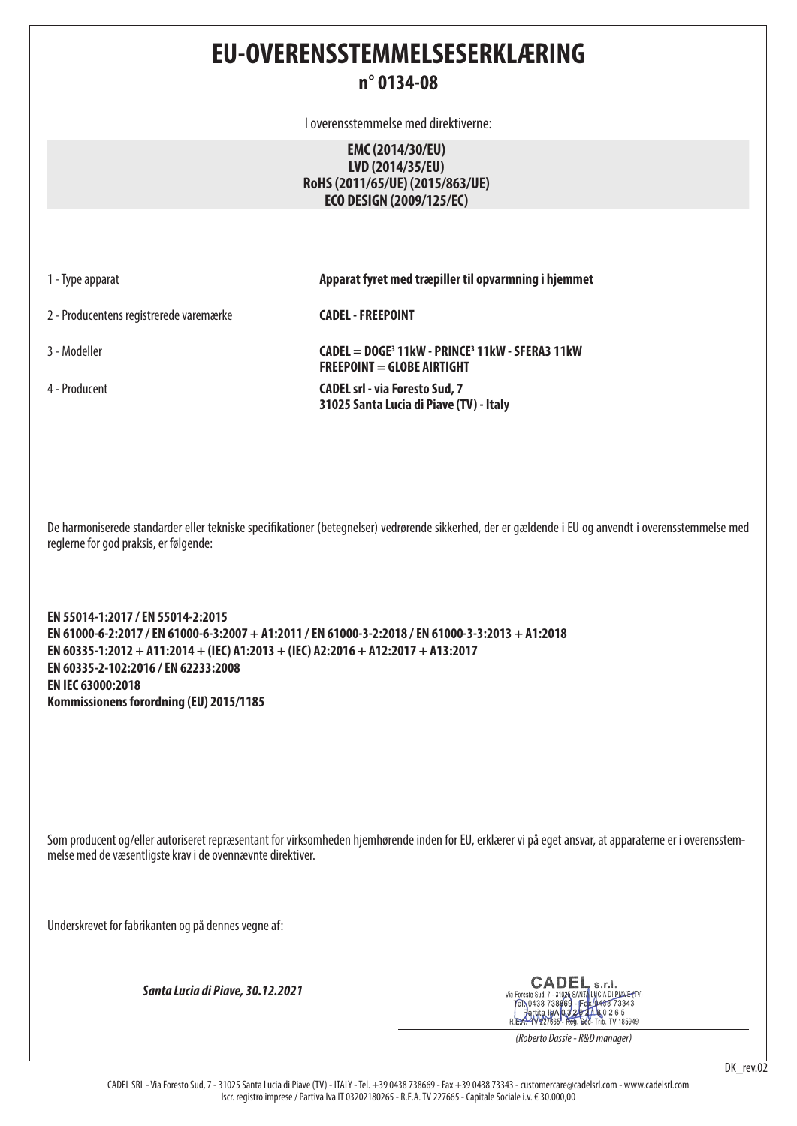**EU-OVERENSSTEMMELSESERKLÆRING**

# **n° 0134-08**

I overensstemmelse med direktiverne:

## **EMC (2014/30/EU) LVD (2014/35/EU) RoHS (2011/65/UE) (2015/863/UE) ECO DESIGN (2009/125/EC)**

1 - Type apparat **Apparat fyret med træpiller til opvarmning i hjemmet**

2 - Producentens registrerede varemærke **CADEL - FREEPOINT**

3 - Modeller **CADEL = DOGE3 11kW - PRINCE3 11kW - SFERA3 11kW FREEPOINT = GLOBE AIRTIGHT** 4 - Producent **CADEL srl - via Foresto Sud, 7 31025 Santa Lucia di Piave (TV) - Italy**

De harmoniserede standarder eller tekniske specifikationer (betegnelser) vedrørende sikkerhed, der er gældende i EU og anvendt i overensstemmelse med reglerne for god praksis, er følgende:

**EN 55014-1:2017 / EN 55014-2:2015 EN 61000-6-2:2017 / EN 61000-6-3:2007 + A1:2011 / EN 61000-3-2:2018 / EN 61000-3-3:2013 + A1:2018 EN 60335-1:2012 + A11:2014 + (IEC) A1:2013 + (IEC) A2:2016 + A12:2017 + A13:2017 EN 60335-2-102:2016 / EN 62233:2008 EN IEC 63000:2018 Kommissionens forordning (EU) 2015/1185**

Som producent og/eller autoriseret repræsentant for virksomheden hjemhørende inden for EU, erklærer vi på eget ansvar, at apparaterne er i overensstemmelse med de væsentligste krav i de ovennævnte direktiver.

Underskrevet for fabrikanten og på dennes vegne af:

*Santa Lucia di Piave, 30.12.2021*

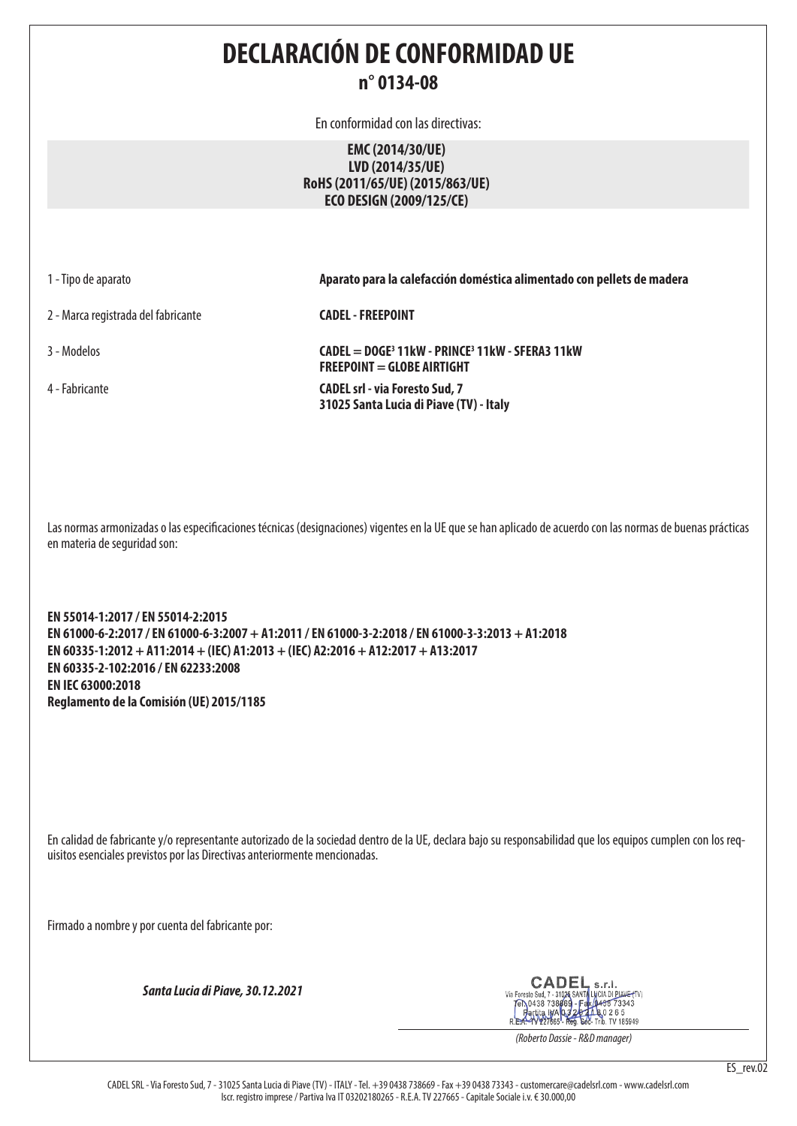**DECLARACIÓN DE CONFORMIDAD UE n° 0134-08**

En conformidad con las directivas:

## **EMC (2014/30/UE) LVD (2014/35/UE) RoHS (2011/65/UE) (2015/863/UE) ECO DESIGN (2009/125/CE)**

2 - Marca registrada del fabricante **CADEL - FREEPOINT**

1 - Tipo de aparato **Aparato para la calefacción doméstica alimentado con pellets de madera**

3 - Modelos **CADEL = DOGE3 11kW - PRINCE3 11kW - SFERA3 11kW FREEPOINT = GLOBE AIRTIGHT** 4 - Fabricante **CADEL srl - via Foresto Sud, 7 31025 Santa Lucia di Piave (TV) - Italy**

Las normas armonizadas o las especificaciones técnicas (designaciones) vigentes en la UE que se han aplicado de acuerdo con las normas de buenas prácticas en materia de seguridad son:

**EN 55014-1:2017 / EN 55014-2:2015 EN 61000-6-2:2017 / EN 61000-6-3:2007 + A1:2011 / EN 61000-3-2:2018 / EN 61000-3-3:2013 + A1:2018 EN 60335-1:2012 + A11:2014 + (IEC) A1:2013 + (IEC) A2:2016 + A12:2017 + A13:2017 EN 60335-2-102:2016 / EN 62233:2008 EN IEC 63000:2018 Reglamento de la Comisión (UE) 2015/1185**

En calidad de fabricante y/o representante autorizado de la sociedad dentro de la UE, declara bajo su responsabilidad que los equipos cumplen con los requisitos esenciales previstos por las Directivas anteriormente mencionadas.

Firmado a nombre y por cuenta del fabricante por:

*Santa Lucia di Piave, 30.12.2021*

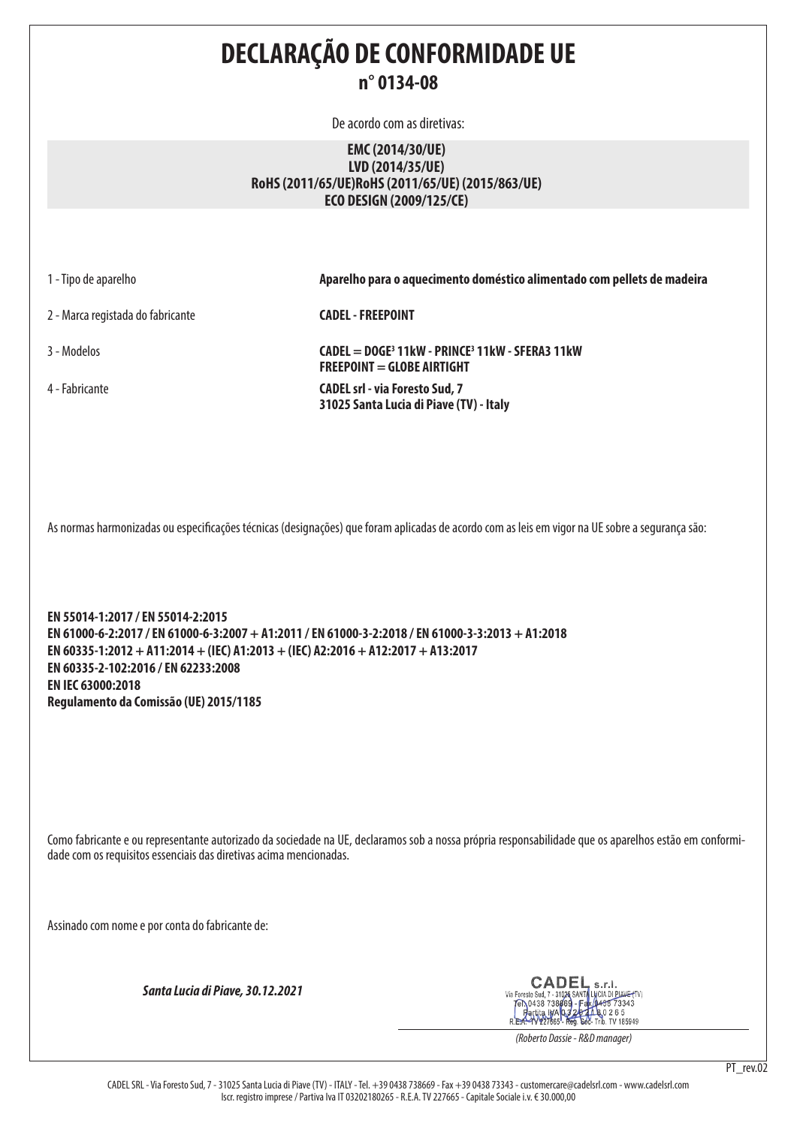**DECLARAÇÃO DE CONFORMIDADE UE n° 0134-08**

De acordo com as diretivas:

## **EMC (2014/30/UE) LVD (2014/35/UE) RoHS (2011/65/UE)RoHS (2011/65/UE) (2015/863/UE) ECO DESIGN (2009/125/CE)**

2 - Marca registada do fabricante **CADEL - FREEPOINT**

1 - Tipo de aparelho **Aparelho para o aquecimento doméstico alimentado com pellets de madeira**

3 - Modelos **CADEL = DOGE3 11kW - PRINCE3 11kW - SFERA3 11kW FREEPOINT = GLOBE AIRTIGHT** 4 - Fabricante **CADEL srl - via Foresto Sud, 7 31025 Santa Lucia di Piave (TV) - Italy**

As normas harmonizadas ou especificações técnicas (designações) que foram aplicadas de acordo com as leis em vigor na UE sobre a segurança são:

**EN 55014-1:2017 / EN 55014-2:2015 EN 61000-6-2:2017 / EN 61000-6-3:2007 + A1:2011 / EN 61000-3-2:2018 / EN 61000-3-3:2013 + A1:2018 EN 60335-1:2012 + A11:2014 + (IEC) A1:2013 + (IEC) A2:2016 + A12:2017 + A13:2017 EN 60335-2-102:2016 / EN 62233:2008 EN IEC 63000:2018 Regulamento da Comissão (UE) 2015/1185**

Como fabricante e ou representante autorizado da sociedade na UE, declaramos sob a nossa própria responsabilidade que os aparelhos estão em conformidade com os requisitos essenciais das diretivas acima mencionadas.

Assinado com nome e por conta do fabricante de:

*Santa Lucia di Piave, 30.12.2021*

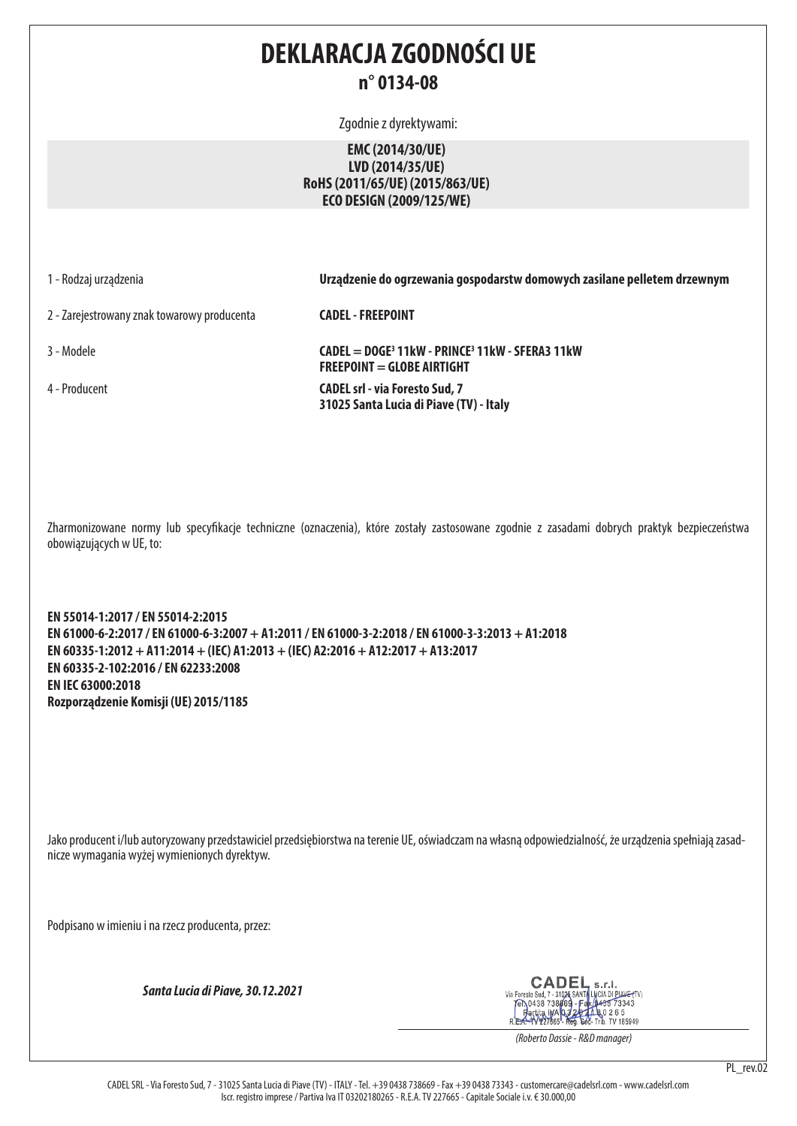# **DEKLARACJA ZGODNOŚCI UE n° 0134-08**

Zgodnie z dyrektywami:

## **EMC (2014/30/UE) LVD (2014/35/UE) RoHS (2011/65/UE) (2015/863/UE) ECO DESIGN (2009/125/WE)**

1 - Rodzaj urządzenia **Urządzenie do ogrzewania gospodarstw domowych zasilane pelletem drzewnym**

2 - Zarejestrowany znak towarowy producenta **CADEL - FREEPOINT**

3 - Modele **CADEL = DOGE3 11kW - PRINCE3 11kW - SFERA3 11kW FREEPOINT = GLOBE AIRTIGHT** 4 - Producent **CADEL srl - via Foresto Sud, 7 31025 Santa Lucia di Piave (TV) - Italy**

Zharmonizowane normy lub specyfikacje techniczne (oznaczenia), które zostały zastosowane zgodnie z zasadami dobrych praktyk bezpieczeństwa obowiązujących w UE, to:

**EN 55014-1:2017 / EN 55014-2:2015 EN 61000-6-2:2017 / EN 61000-6-3:2007 + A1:2011 / EN 61000-3-2:2018 / EN 61000-3-3:2013 + A1:2018 EN 60335-1:2012 + A11:2014 + (IEC) A1:2013 + (IEC) A2:2016 + A12:2017 + A13:2017 EN 60335-2-102:2016 / EN 62233:2008 EN IEC 63000:2018 Rozporządzenie Komisji (UE) 2015/1185**

Jako producent i/lub autoryzowany przedstawiciel przedsiębiorstwa na terenie UE, oświadczam na własną odpowiedzialność, że urządzenia spełniają zasadnicze wymagania wyżej wymienionych dyrektyw.

Podpisano w imieniu i na rzecz producenta, przez:

*Santa Lucia di Piave, 30.12.2021*

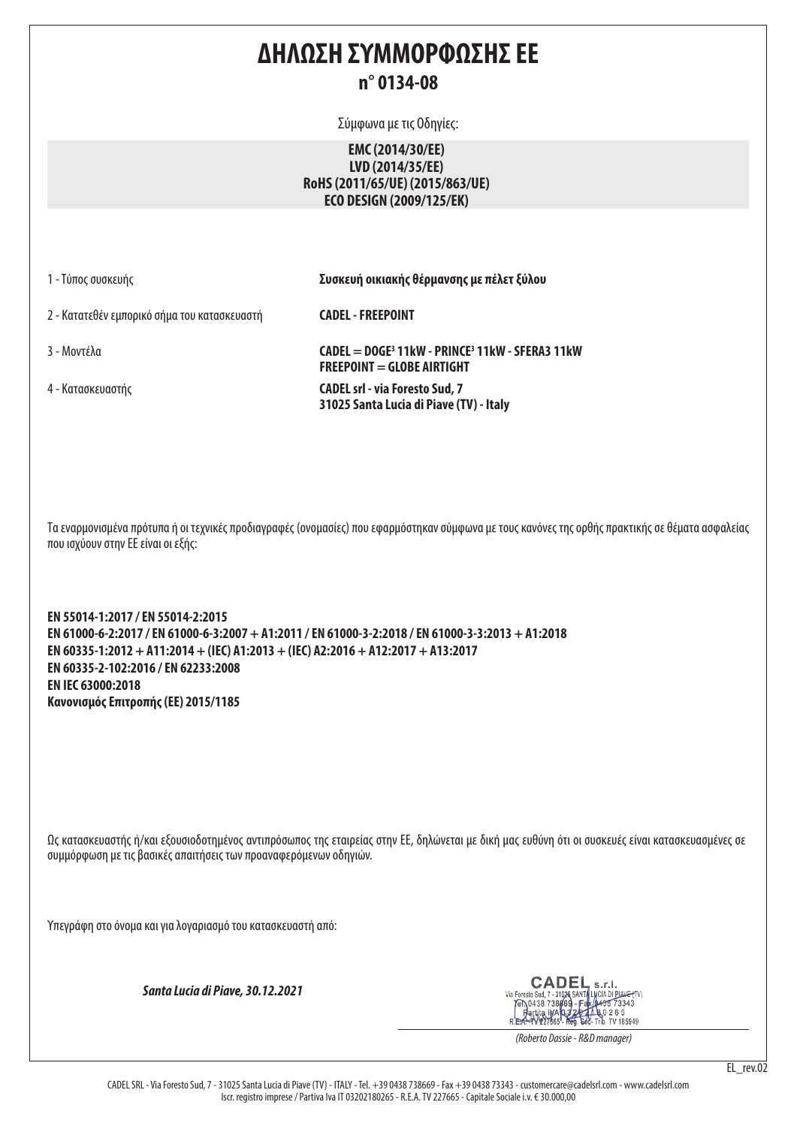# **ΔΗΛΩΣΗ ΣΥΜΜΟΡΦΩΣΗΣ ΕΕ n° 0134-08**

Σύμφωνα με τις Οδηγίες:

# **EMC (2014/30/EE) LVD (2014/35/EE) RoHS (2011/65/UE) (2015/863/UE) ECO DESIGN (2009/125/EK)**

1 - Τύπος συσκευής **Συσκευή οικιακής θέρμανσης με πέλετ ξύλου**

2 - Κατατεθέν εμπορικό σήμα του κατασκευαστή **CADEL - FREEPOINT**

3 - Μοντέλα **CADEL = DOGE3 11kW - PRINCE3 11kW - SFERA3 11kW FREEPOINT = GLOBE AIRTIGHT** 4 - Κατασκευαστής **CADEL srl - via Foresto Sud, 7 31025 Santa Lucia di Piave (TV) - Italy**

Τα εναρμονισμένα πρότυπα ή οι τεχνικές προδιαγραφές (ονομασίες) που εφαρμόστηκαν σύμφωνα με τους κανόνες της ορθής πρακτικής σε θέματα ασφαλείας που ισχύουν στην ΕΕ είναι οι εξής:

**EN 55014-1:2017 / EN 55014-2:2015 EN 61000-6-2:2017 / EN 61000-6-3:2007 + A1:2011 / EN 61000-3-2:2018 / EN 61000-3-3:2013 + A1:2018 EN 60335-1:2012 + A11:2014 + (IEC) A1:2013 + (IEC) A2:2016 + A12:2017 + A13:2017 EN 60335-2-102:2016 / EN 62233:2008 EN IEC 63000:2018 Κανονισμός Επιτροπής (ΕΕ) 2015/1185**

Ως κατασκευαστής ή/και εξουσιοδοτημένος αντιπρόσωπος της εταιρείας στην ΕΕ, δηλώνεται με δική μας ευθύνη ότι οι συσκευές είναι κατασκευασμένες σε συμμόρφωση με τις βασικές απαιτήσεις των προαναφερόμενων οδηγιών.

Υπεγράφη στο όνομα και για λογαριασμό του κατασκευαστή από:

*Santa Lucia di Piave, 30.12.2021*